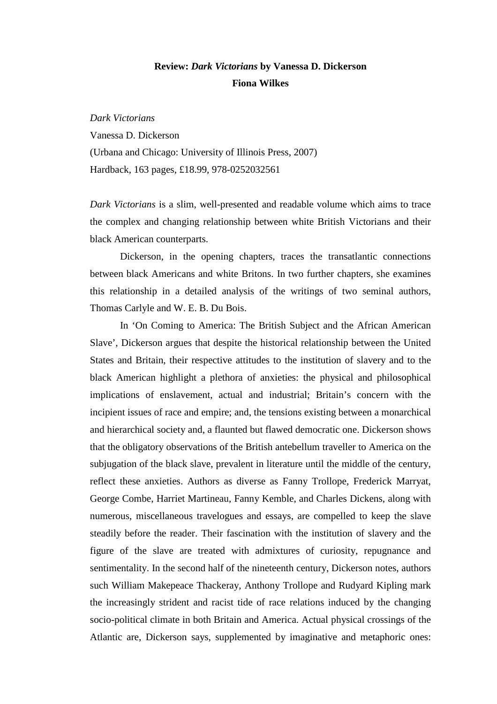## **Review:** *Dark Victorians* **by Vanessa D. Dickerson Fiona Wilkes**

*Dark Victorians*  Vanessa D. Dickerson (Urbana and Chicago: University of Illinois Press, 2007) Hardback, 163 pages, £18.99, 978-0252032561

*Dark Victorians* is a slim, well-presented and readable volume which aims to trace the complex and changing relationship between white British Victorians and their black American counterparts.

Dickerson, in the opening chapters, traces the transatlantic connections between black Americans and white Britons. In two further chapters, she examines this relationship in a detailed analysis of the writings of two seminal authors, Thomas Carlyle and W. E. B. Du Bois.

 In 'On Coming to America: The British Subject and the African American Slave', Dickerson argues that despite the historical relationship between the United States and Britain, their respective attitudes to the institution of slavery and to the black American highlight a plethora of anxieties: the physical and philosophical implications of enslavement, actual and industrial; Britain's concern with the incipient issues of race and empire; and, the tensions existing between a monarchical and hierarchical society and, a flaunted but flawed democratic one. Dickerson shows that the obligatory observations of the British antebellum traveller to America on the subjugation of the black slave, prevalent in literature until the middle of the century, reflect these anxieties. Authors as diverse as Fanny Trollope, Frederick Marryat, George Combe, Harriet Martineau, Fanny Kemble, and Charles Dickens, along with numerous, miscellaneous travelogues and essays, are compelled to keep the slave steadily before the reader. Their fascination with the institution of slavery and the figure of the slave are treated with admixtures of curiosity, repugnance and sentimentality. In the second half of the nineteenth century, Dickerson notes, authors such William Makepeace Thackeray, Anthony Trollope and Rudyard Kipling mark the increasingly strident and racist tide of race relations induced by the changing socio-political climate in both Britain and America. Actual physical crossings of the Atlantic are, Dickerson says, supplemented by imaginative and metaphoric ones: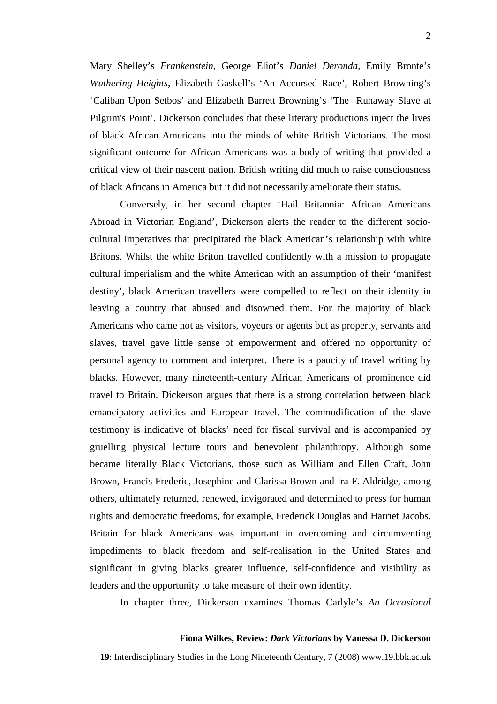Mary Shelley's *Frankenstein*, George Eliot's *Daniel Deronda*, Emily Bronte's *Wuthering Heights*, Elizabeth Gaskell's 'An Accursed Race', Robert Browning's 'Caliban Upon Setbos' and Elizabeth Barrett Browning's 'The Runaway Slave at Pilgrim's Point'. Dickerson concludes that these literary productions inject the lives of black African Americans into the minds of white British Victorians. The most significant outcome for African Americans was a body of writing that provided a critical view of their nascent nation. British writing did much to raise consciousness of black Africans in America but it did not necessarily ameliorate their status.

 Conversely, in her second chapter 'Hail Britannia: African Americans Abroad in Victorian England', Dickerson alerts the reader to the different sociocultural imperatives that precipitated the black American's relationship with white Britons. Whilst the white Briton travelled confidently with a mission to propagate cultural imperialism and the white American with an assumption of their 'manifest destiny', black American travellers were compelled to reflect on their identity in leaving a country that abused and disowned them. For the majority of black Americans who came not as visitors, voyeurs or agents but as property, servants and slaves, travel gave little sense of empowerment and offered no opportunity of personal agency to comment and interpret. There is a paucity of travel writing by blacks. However, many nineteenth-century African Americans of prominence did travel to Britain. Dickerson argues that there is a strong correlation between black emancipatory activities and European travel. The commodification of the slave testimony is indicative of blacks' need for fiscal survival and is accompanied by gruelling physical lecture tours and benevolent philanthropy. Although some became literally Black Victorians, those such as William and Ellen Craft, John Brown, Francis Frederic, Josephine and Clarissa Brown and Ira F. Aldridge, among others, ultimately returned, renewed, invigorated and determined to press for human rights and democratic freedoms, for example, Frederick Douglas and Harriet Jacobs. Britain for black Americans was important in overcoming and circumventing impediments to black freedom and self-realisation in the United States and significant in giving blacks greater influence, self-confidence and visibility as leaders and the opportunity to take measure of their own identity.

In chapter three, Dickerson examines Thomas Carlyle's *An Occasional* 

## **Fiona Wilkes, Review:** *Dark Victorians* **by Vanessa D. Dickerson**

**19**: Interdisciplinary Studies in the Long Nineteenth Century, 7 (2008) www.19.bbk.ac.uk